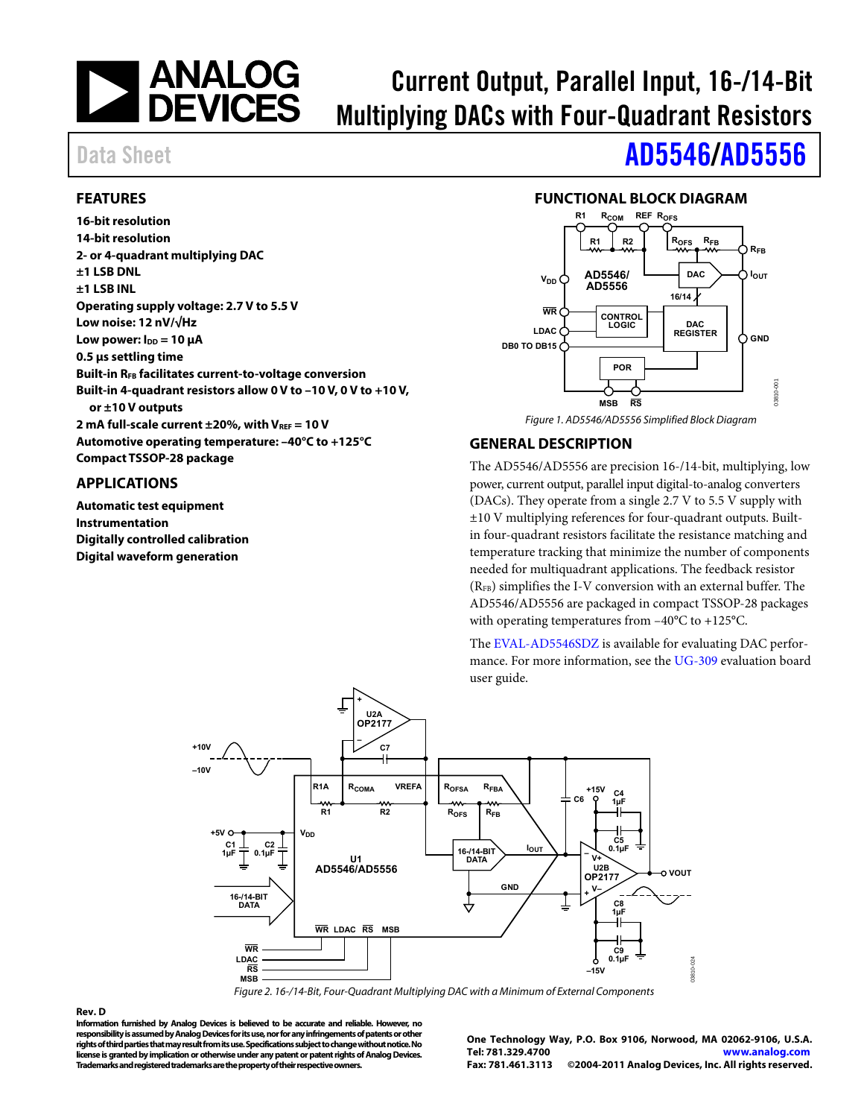

# Current Output, Parallel Input, 16-/14-Bit Multiplying DACs with Four-Quadrant Resistors

### <span id="page-0-0"></span>**FEATURES**

**16-bit resolution 14-bit resolution 2- or 4-quadrant multiplying DAC ±1 LSB DNL ±1 LSB INL Operating supply voltage: 2.7 V to 5.5 V Low noise: 12 nV/√Hz Low power: I<sub>DD</sub> = 10 μA 0.5 μs settling time Built-in RFB facilitates current-to-voltage conversion Built-in 4-quadrant resistors allow 0 V to –10 V, 0 V to +10 V, or ±10 V outputs 2 mA full-scale current ±20%, with VREF = 10 V Automotive operating temperature: –40°C to +125°C Compact TSSOP-28 package** 

#### <span id="page-0-1"></span>**APPLICATIONS**

**Automatic test equipment Instrumentation Digitally controlled calibration Digital waveform generation** 

# Data Sheet **[AD5546/](http://www.analog.com/AD5546)[AD5556](http://www.analog.com/AD5556)**

### **FUNCTIONAL BLOCK DIAGRAM**

<span id="page-0-2"></span>

### <span id="page-0-3"></span>**GENERAL DESCRIPTION**

The AD5546/AD5556 are precision 16-/14-bit, multiplying, low power, current output, parallel input digital-to-analog converters (DACs). They operate from a single 2.7 V to 5.5 V supply with ±10 V multiplying references for four-quadrant outputs. Builtin four-quadrant resistors facilitate the resistance matching and temperature tracking that minimize the number of components needed for multiquadrant applications. The feedback resistor  $(R<sub>FB</sub>)$  simplifies the I-V conversion with an external buffer. The AD5546/AD5556 are packaged in compact TSSOP-28 packages with operating temperatures from –40°C to +125°C.

The [EVAL-AD5546SDZ i](http://www.analog.com/ad5546)s available for evaluating DAC performance. For more information, see the [UG-309 e](http://www.analog.com/ug-309)valuation board user guide.



Figure 2. 16-/14-Bit, Four-Quadrant Multiplying DAC with a Minimum of External Components

#### <span id="page-0-4"></span>**Rev. D**

**Information furnished by Analog Devices is believed to be accurate and reliable. However, no responsibility is assumed by Analog Devices for its use, nor for any infringements of patents or other rights of third parties that may result from its use. Specifications subject to change without notice. No license is granted by implication or otherwise under any patent or patent rights of Analog Devices. Trademarks and registered trademarks are the property of their respective owners.** 

**One Technology Way, P.O. Box 9106, Norwood, MA 02062-9106, U.S.A. Tel: 781.329.4700 [www.analog.com](http://www.analog.com/) Fax: 781.461.3113 ©2004-2011 Analog Devices, Inc. All rights reserved.**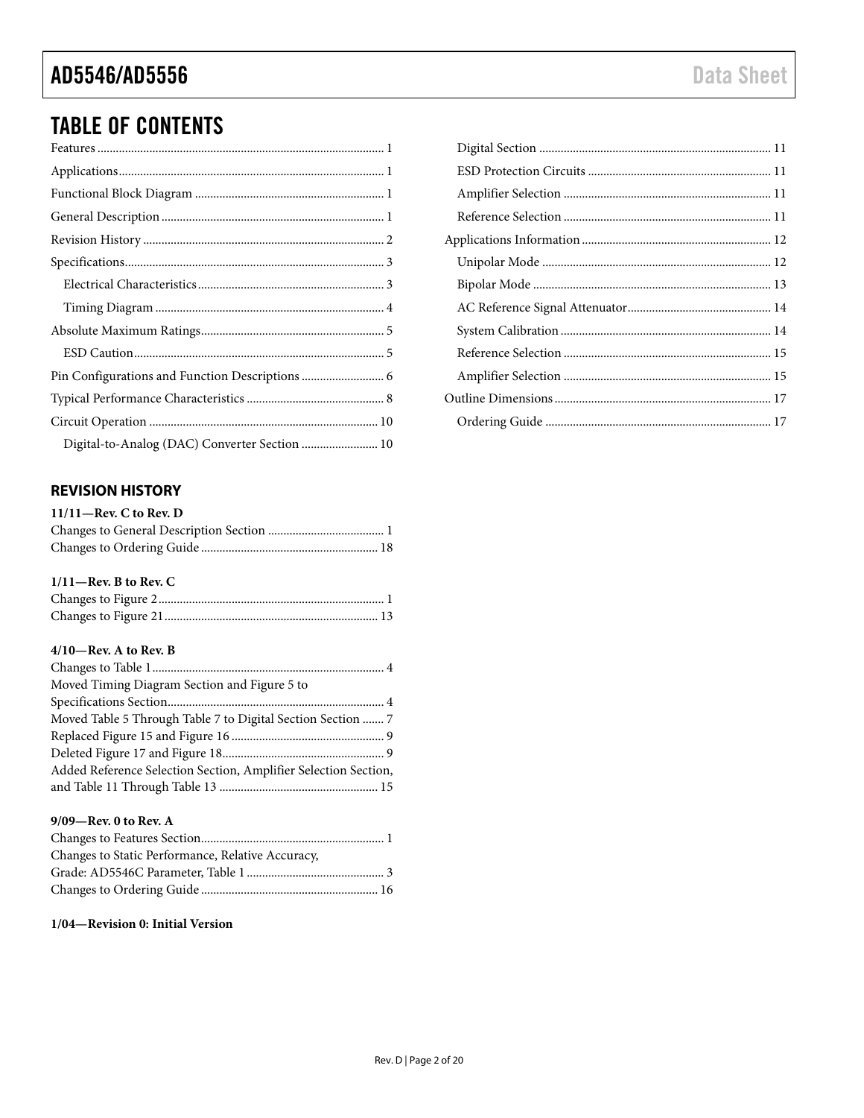# TABLE OF CONTENTS

### <span id="page-1-0"></span>**REVISION HISTORY**

| $11/11$ —Rev. C to Rev. D |  |
|---------------------------|--|
|                           |  |
|                           |  |

### **1/11—Rev. B to Rev. C**

| $\label{prop:main} \textbf{Changes~to~Figure~2}.\textcolor{red}{\textbf{num}\textbf{1}}\textcolor{white}{\textbf{num}\textbf{1}}\textcolor{white}{\textbf{1}}$ |  |
|----------------------------------------------------------------------------------------------------------------------------------------------------------------|--|
|                                                                                                                                                                |  |

#### **4/10—Rev. A to Rev. B**

| Moved Timing Diagram Section and Figure 5 to                    |
|-----------------------------------------------------------------|
|                                                                 |
| Moved Table 5 Through Table 7 to Digital Section Section  7     |
|                                                                 |
|                                                                 |
| Added Reference Selection Section, Amplifier Selection Section, |
|                                                                 |

#### **9/09—Rev. 0 to Rev. A**

| Changes to Static Performance, Relative Accuracy, |  |
|---------------------------------------------------|--|
|                                                   |  |
|                                                   |  |

#### **1/04—Revision 0: Initial Version**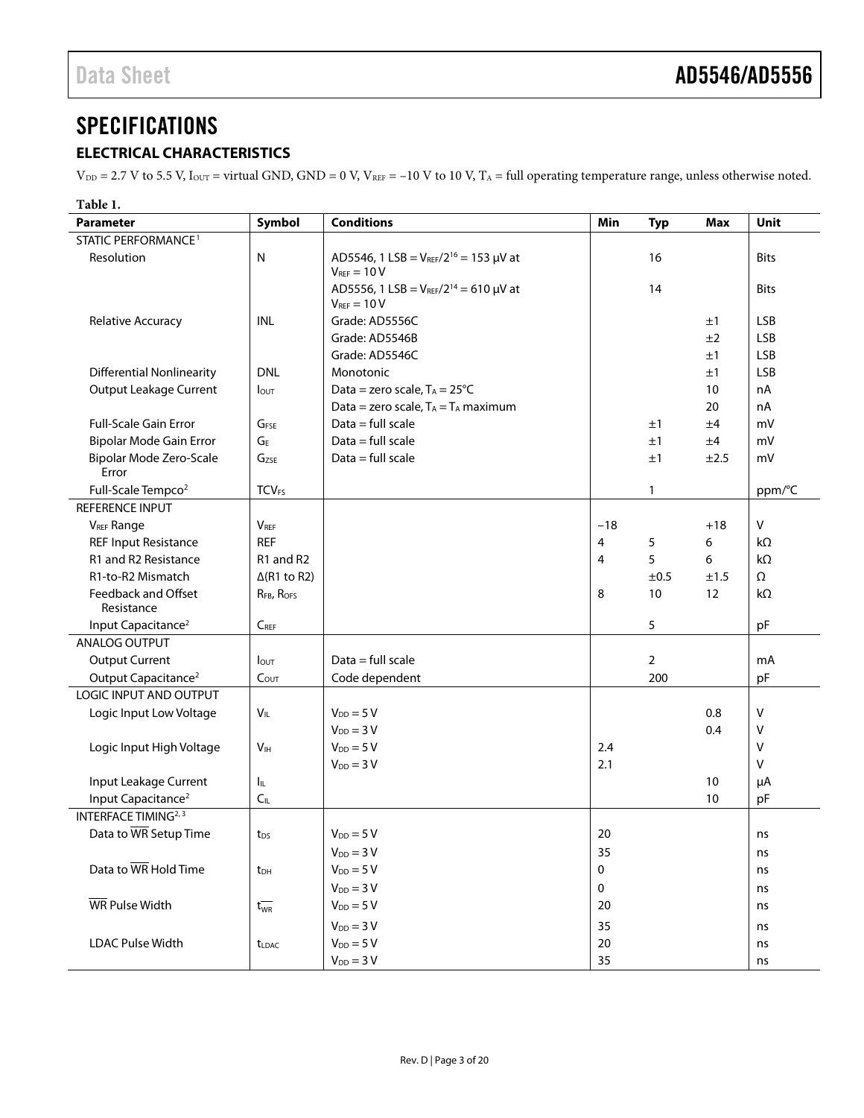# <span id="page-2-0"></span>**SPECIFICATIONS**

## <span id="page-2-1"></span>**ELECTRICAL CHARACTERISTICS**

 $V_{DD} = 2.7$  V to 5.5 V,  $I_{OUT}$  = virtual GND, GND = 0 V,  $V_{REF}$  = -10 V to 10 V,  $T_A$  = full operating temperature range, unless otherwise noted.

| Table 1.                          |                         |                                                                     |                |                |            |              |
|-----------------------------------|-------------------------|---------------------------------------------------------------------|----------------|----------------|------------|--------------|
| Parameter                         | Symbol                  | <b>Conditions</b>                                                   | Min            | <b>Typ</b>     | <b>Max</b> | Unit         |
| STATIC PERFORMANCE <sup>1</sup>   |                         |                                                                     |                |                |            |              |
| Resolution                        | N                       | AD5546, 1 LSB = $V_{REF}/2^{16} = 153 \mu V$ at<br>$V_{BFE} = 10 V$ |                | 16             |            | <b>Bits</b>  |
|                                   |                         | AD5556, 1 LSB = $V_{REF}/2^{14}$ = 610 µV at<br>$V_{REF} = 10 V$    |                | 14             |            | <b>Bits</b>  |
| Relative Accuracy                 | INL                     | Grade: AD5556C                                                      |                |                | ±1         | <b>LSB</b>   |
|                                   |                         | Grade: AD5546B                                                      |                |                | ±2         | <b>LSB</b>   |
|                                   |                         | Grade: AD5546C                                                      |                |                | ±1         | <b>LSB</b>   |
| <b>Differential Nonlinearity</b>  | <b>DNL</b>              | Monotonic                                                           |                |                | ±1         | <b>LSB</b>   |
| <b>Output Leakage Current</b>     | <b>l</b> out            | Data = zero scale, $T_A = 25^{\circ}C$                              |                |                | 10         | nA           |
|                                   |                         | Data = zero scale, $T_A = T_A$ maximum                              |                |                | 20         | nA           |
| Full-Scale Gain Error             | GFSE                    | Data = full scale                                                   |                | ±1             | ±4         | mV           |
| Bipolar Mode Gain Error           | GF                      | $Data = full scale$                                                 |                | ±1             | ±4         | mV           |
| Bipolar Mode Zero-Scale           | Gzse                    | $Data = full scale$                                                 |                | ±1             | ±2.5       | mV           |
| Error                             |                         |                                                                     |                |                |            |              |
| Full-Scale Tempco <sup>2</sup>    | <b>TCVFS</b>            |                                                                     |                | 1              |            | ppm/°C       |
| REFERENCE INPUT                   |                         |                                                                     |                |                |            |              |
| <b>VREF Range</b>                 | <b>V</b> <sub>REF</sub> |                                                                     | $-18$          |                | $+18$      | V            |
| <b>REF Input Resistance</b>       | <b>REF</b>              |                                                                     | $\overline{4}$ | 5              | 6          | kΩ           |
| R1 and R2 Resistance              | R1 and R2               |                                                                     | 4              | 5              | 6          | kΩ           |
| R1-to-R2 Mismatch                 | $\Delta$ (R1 to R2)     |                                                                     |                | ±0.5           | ±1.5       | $\Omega$     |
| Feedback and Offset<br>Resistance | RFB, ROFS               |                                                                     | 8              | 10             | 12         | kΩ           |
| Input Capacitance <sup>2</sup>    | $C_{REF}$               |                                                                     |                | 5              |            | pF           |
| ANALOG OUTPUT                     |                         |                                                                     |                |                |            |              |
| <b>Output Current</b>             | <b>l</b> out            | $Data = full scale$                                                 |                | $\overline{2}$ |            | mA           |
| Output Capacitance <sup>2</sup>   | $C_{OUT}$               | Code dependent                                                      |                | 200            |            | pF           |
| LOGIC INPUT AND OUTPUT            |                         |                                                                     |                |                |            |              |
| Logic Input Low Voltage           | $V_{IL}$                | $V_{DD} = 5 V$                                                      |                |                | 0.8        | $\mathsf{V}$ |
|                                   |                         | $V_{DD} = 3V$                                                       |                |                | 0.4        | V            |
| Logic Input High Voltage          | V <sub>IH</sub>         | $V_{DD} = 5 V$                                                      | 2.4            |                |            | V            |
|                                   |                         | $V_{DD} = 3 V$                                                      | 2.1            |                |            | v            |
| Input Leakage Current             | Ι'n.                    |                                                                     |                |                | 10         | μA           |
| Input Capacitance <sup>2</sup>    | $C_{\mathbb{L}}$        |                                                                     |                |                | 10         | pF           |
| INTERFACE TIMING <sup>2, 3</sup>  |                         |                                                                     |                |                |            |              |
| Data to WR Setup Time             | t <sub>DS</sub>         | $V_{DD} = 5 V$                                                      | 20             |                |            | ns           |
|                                   |                         | $V_{DD} = 3 V$                                                      | 35             |                |            | ns           |
| Data to WR Hold Time              | t <sub>DH</sub>         | $V_{DD} = 5 V$                                                      | 0              |                |            | ns           |
|                                   |                         | $V_{DD} = 3 V$                                                      | 0              |                |            | ns           |
| WR Pulse Width                    | $t_{WR}^-$              | $V_{DD} = 5 V$                                                      | 20             |                |            | ns           |
|                                   |                         | $V_{DD} = 3 V$                                                      | 35             |                |            | ns           |
| <b>LDAC Pulse Width</b>           | <b>t</b> LDAC           | $V_{DD} = 5 V$                                                      | 20             |                |            | ns           |
|                                   |                         | $V_{DD} = 3 V$                                                      | 35             |                |            | ns           |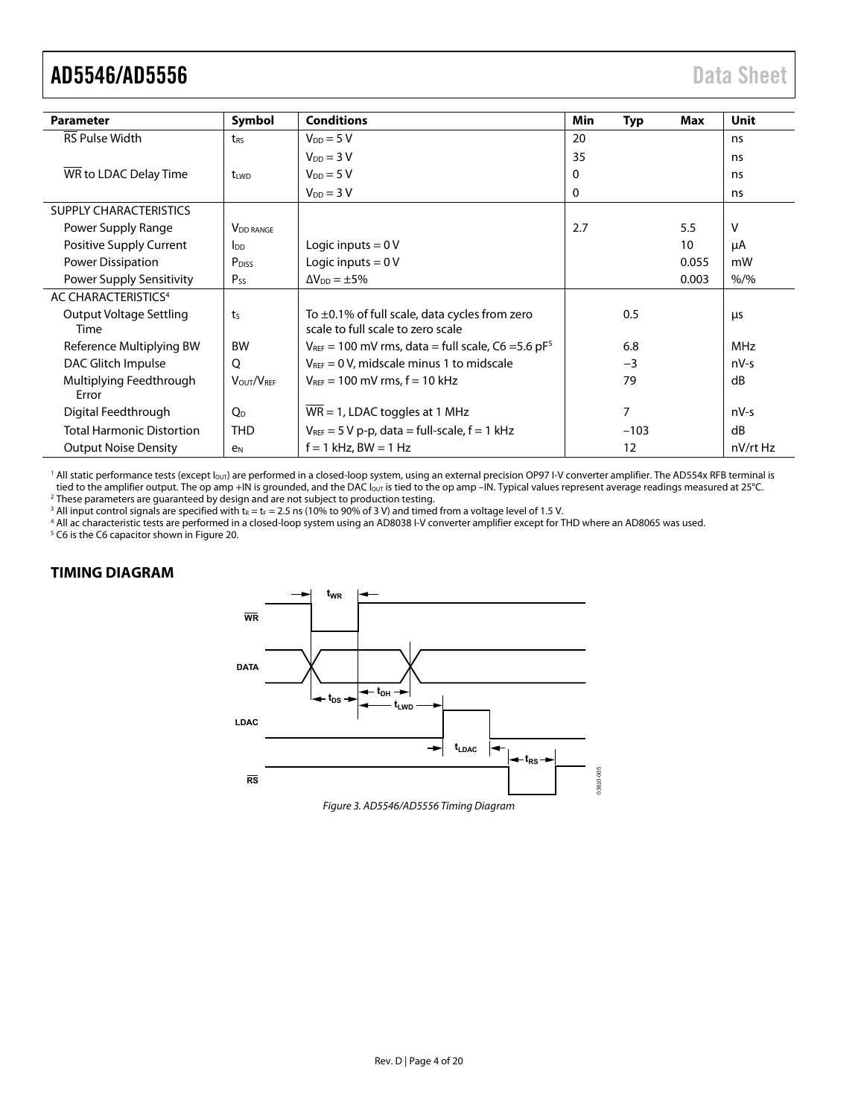| <b>Parameter</b>                       | Symbol                      | <b>Conditions</b>                                                                       | Min | Typ    | Max   | Unit       |
|----------------------------------------|-----------------------------|-----------------------------------------------------------------------------------------|-----|--------|-------|------------|
| <b>RS Pulse Width</b>                  | t <sub>RS</sub>             | $V_{DD} = 5V$                                                                           | 20  |        |       | ns         |
|                                        |                             | $V_{DD} = 3V$                                                                           | 35  |        |       | ns         |
| WR to LDAC Delay Time                  | tiwn                        | $V_{DD} = 5V$                                                                           | 0   |        |       | ns         |
|                                        |                             | $V_{DD} = 3 V$                                                                          | 0   |        |       | ns         |
| <b>SUPPLY CHARACTERISTICS</b>          |                             |                                                                                         |     |        |       |            |
| Power Supply Range                     | <b>V<sub>DD</sub></b> RANGE |                                                                                         | 2.7 |        | 5.5   | v          |
| Positive Supply Current                | $\mathsf{In}$               | Logic inputs $= 0 V$                                                                    |     |        | 10    | μA         |
| Power Dissipation                      | P <sub>DISS</sub>           | Logic inputs = $0V$                                                                     |     |        | 0.055 | mW         |
| Power Supply Sensitivity               | Pss                         | $\Delta V_{DD} = \pm 5\%$                                                               |     |        | 0.003 | $% /$ %    |
| AC CHARACTERISTICS <sup>4</sup>        |                             |                                                                                         |     |        |       |            |
| <b>Output Voltage Settling</b><br>Time | t <sub>S</sub>              | To $\pm$ 0.1% of full scale, data cycles from zero<br>scale to full scale to zero scale |     | 0.5    |       | <b>LIS</b> |
| Reference Multiplying BW               | <b>BW</b>                   | $V_{REF}$ = 100 mV rms, data = full scale, C6 = 5.6 pF <sup>5</sup>                     |     | 6.8    |       | <b>MHz</b> |
| DAC Glitch Impulse                     | Q                           | $V_{REF} = 0 V$ , midscale minus 1 to midscale                                          |     | $-3$   |       | nV-s       |
| Multiplying Feedthrough<br>Error       | VOUT/VREE                   | $V_{\text{REF}} = 100 \text{ mV}$ rms. $f = 10 \text{ kHz}$                             |     | 79     |       | dB         |
| Digital Feedthrough                    | O <sub>D</sub>              | $WR = 1$ , LDAC toggles at 1 MHz                                                        |     | 7      |       | nV-s       |
| <b>Total Harmonic Distortion</b>       | <b>THD</b>                  | $V_{REF}$ = 5 V p-p, data = full-scale, f = 1 kHz                                       |     | $-103$ |       | dB         |
| <b>Output Noise Density</b>            | e <sub>N</sub>              | $f = 1$ kHz, BW = 1 Hz                                                                  |     | 12     |       | nV/rt Hz   |

<span id="page-3-1"></span><sup>1</sup> All static performance tests (except l<sub>our</sub>) are performed in a closed-loop system, using an external precision OP97 I-V converter amplifier. The AD554x RFB terminal is tied to the amplifier output. The op amp +IN is grounded, and the DAC I<sub>our</sub> is tied to the op amp -IN. Typical values represent average readings measured at 25°C. <sup>2</sup> These parameters are guaranteed by design and are not subject to production testing.

<sup>3</sup> All input control signals are specified with  $t_R = t_F = 2.5$  ns (10% to 90% of 3 V) and timed from a voltage level of 1.5 V.  $^3$  All input control signals are specified with t $_{\rm R}$  = t $_{\rm F}$  = 2.5 ns (10% to 90% of 3 V) and timed from a voltage level of 1.5 V.<br><sup>4</sup> All ac characteristic tests are performed in a closed-loon system using an AD

<sup>4</sup> All ac characteristic tests are performed in a closed-loop system using an AD8038 I-V converter amplifier except for THD where an AD8065 was used.<br><sup>5</sup> C6 is the C6 capacitor shown in Figure 20.

#### <span id="page-3-0"></span>**TIMING DIAGRAM**

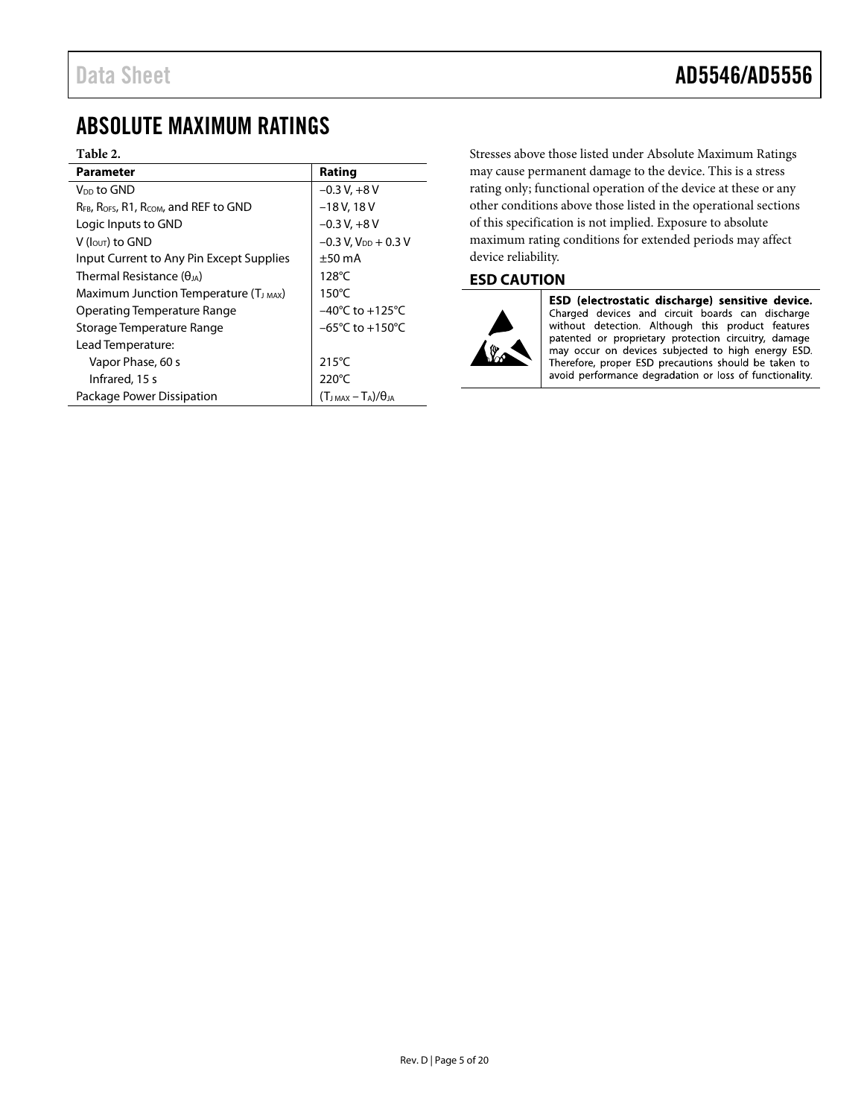## <span id="page-4-0"></span>ABSOLUTE MAXIMUM RATINGS

#### **Table 2.**

| <b>Parameter</b>                                   | Rating                              |
|----------------------------------------------------|-------------------------------------|
| V <sub>DD</sub> to GND                             | $-0.3 V + 8 V$                      |
| RFB, ROFS, R1, RCOM, and REF to GND                | $-18$ V, 18 V                       |
| Logic Inputs to GND                                | $-0.3 V + 8 V$                      |
| $V$ ( $I_{\text{OUT}}$ ) to GND                    | $-0.3$ V, $V_{DD}$ + 0.3 V          |
| Input Current to Any Pin Except Supplies           | $\pm 50$ mA                         |
| Thermal Resistance ( $\theta_{JA}$ )               | $128^{\circ}$ C                     |
| Maximum Junction Temperature (T <sub>J MAX</sub> ) | $150^{\circ}$ C                     |
| Operating Temperature Range                        | $-40^{\circ}$ C to $+125^{\circ}$ C |
| Storage Temperature Range                          | $-65^{\circ}$ C to $+150^{\circ}$ C |
| Lead Temperature:                                  |                                     |
| Vapor Phase, 60 s                                  | $215^{\circ}$ C                     |
| Infrared, 15 s                                     | 220°C                               |
| Package Power Dissipation                          | $(T_{JMAX} - T_A)/\theta_{JA}$      |

Stresses above those listed under Absolute Maximum Ratings may cause permanent damage to the device. This is a stress rating only; functional operation of the device at these or any other conditions above those listed in the operational sections of this specification is not implied. Exposure to absolute maximum rating conditions for extended periods may affect device reliability.

### <span id="page-4-1"></span>**ESD CAUTION**



ESD (electrostatic discharge) sensitive device. Charged devices and circuit boards can discharge<br>without detection. Although this product features patented or proprietary protection circuitry, damage may occur on devices subjected to high energy ESD. Therefore, proper ESD precautions should be taken to avoid performance degradation or loss of functionality.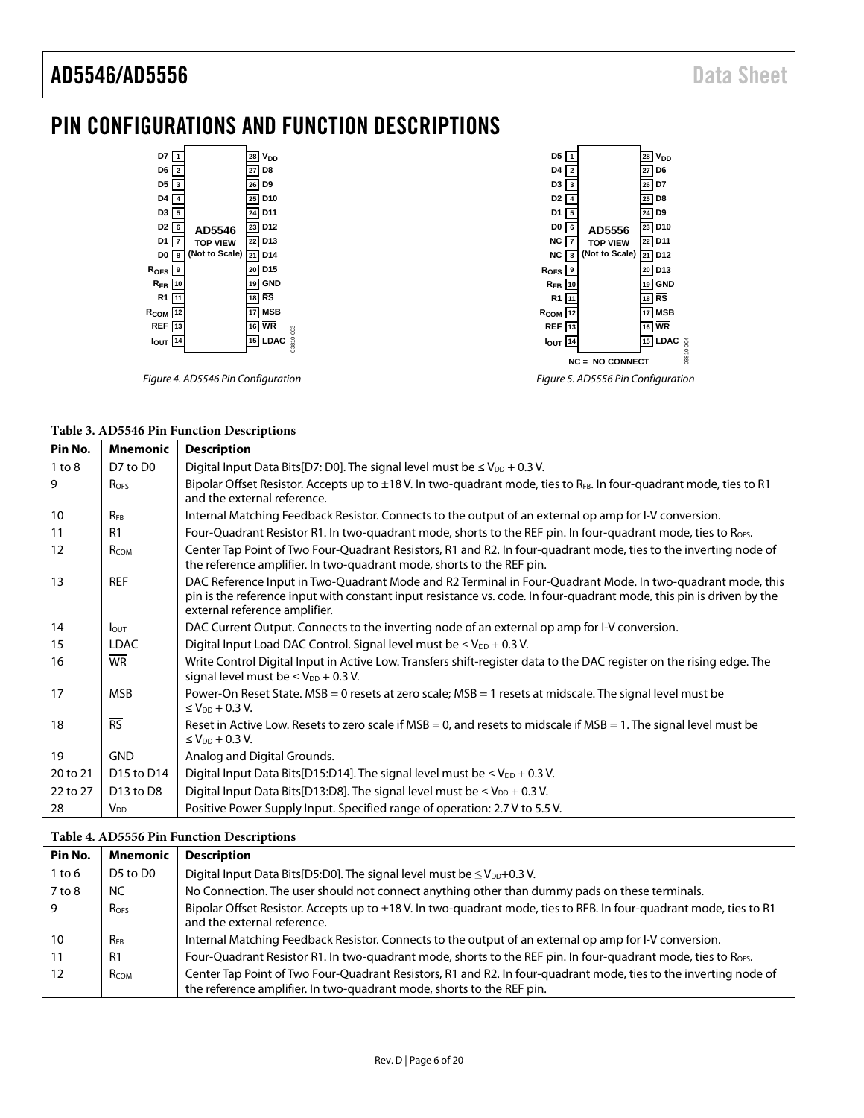# <span id="page-5-0"></span>PIN CONFIGURATIONS AND FUNCTION DESCRIPTIONS

| D7<br>$\mathbf{1}$                 | $28$ $V_{DD}$               | D <sub>5</sub>       |                                    | V <sub>DD</sub><br>28 |
|------------------------------------|-----------------------------|----------------------|------------------------------------|-----------------------|
| D6<br>$\overline{\mathbf{2}}$      | 27 D8                       | D4                   |                                    | D6<br>27              |
| D <sub>5</sub><br>3                | 26 D9                       | D <sub>3</sub><br>-3 |                                    | D7<br>26              |
| D4<br>4                            | 25 D10                      | D <sub>2</sub>       |                                    | $25$ D8               |
| D <sub>3</sub><br>5                | 24 D11                      | D <sub>1</sub>       |                                    | 24 D9                 |
| D <sub>2</sub><br>6<br>AD5546      | 23 D12                      | DO 6                 | AD5556                             | 23 D10                |
| D1<br>7<br><b>TOP VIEW</b>         | $22$ D <sub>13</sub>        | NC I<br>7            | <b>TOP VIEW</b>                    | 22 D11                |
| (Not to Scale)<br>D0<br>8          | 21 D14                      | NC<br>8              | (Not to Scale)                     | 21 D <sub>12</sub>    |
| R <sub>OFS</sub><br>9              | $20$ D <sub>15</sub>        | $R_{OFS}$ $9$        |                                    | D13<br>20             |
| $R_{FB}$<br>10                     | 19 GND                      | $R_{FB}$             |                                    | GND<br>19             |
| R <sub>1</sub><br>11               | 18 RS                       | R <sub>1</sub>       |                                    | $18$ RS               |
| $R_{COM}$<br>12                    | $17$ MSB                    | R <sub>COM</sub> 12  |                                    | 17 MSB                |
| <b>REF</b><br>13                   | $16$ WR                     | <b>REF</b><br>13     |                                    | 16 WR                 |
| <b>I</b> out<br>14                 | 03810-003<br><b>15 LDAC</b> | $I_{OUT}$ 14         |                                    | <b>15 LDAC</b>        |
|                                    |                             |                      | <b>NC = NO CONNECT</b>             | 03810-004             |
|                                    |                             |                      |                                    |                       |
| Figure 4. AD5546 Pin Configuration |                             |                      | Figure 5. AD5556 Pin Configuration |                       |

|  |  | Table 3. AD5546 Pin Function Descriptions |
|--|--|-------------------------------------------|
|  |  |                                           |

| Pin No.    | <b>Mnemonic</b>                    | <b>Description</b>                                                                                                                                                                                                                                                  |
|------------|------------------------------------|---------------------------------------------------------------------------------------------------------------------------------------------------------------------------------------------------------------------------------------------------------------------|
| $1$ to $8$ | D7 to D0                           | Digital Input Data Bits[D7: D0]. The signal level must be $\leq$ V <sub>DD</sub> + 0.3 V.                                                                                                                                                                           |
| 9          | <b>Ro<sub>FS</sub></b>             | Bipolar Offset Resistor. Accepts up to ±18 V. In two-quadrant mode, ties to RFB. In four-quadrant mode, ties to R1<br>and the external reference.                                                                                                                   |
| 10         | $R_{FB}$                           | Internal Matching Feedback Resistor. Connects to the output of an external op amp for I-V conversion.                                                                                                                                                               |
| 11         | R <sub>1</sub>                     | Four-Quadrant Resistor R1. In two-quadrant mode, shorts to the REF pin. In four-quadrant mode, ties to RoFs.                                                                                                                                                        |
| 12         | RCOM                               | Center Tap Point of Two Four-Quadrant Resistors, R1 and R2. In four-quadrant mode, ties to the inverting node of<br>the reference amplifier. In two-quadrant mode, shorts to the REF pin.                                                                           |
| 13         | <b>REF</b>                         | DAC Reference Input in Two-Quadrant Mode and R2 Terminal in Four-Quadrant Mode. In two-quadrant mode, this<br>pin is the reference input with constant input resistance vs. code. In four-quadrant mode, this pin is driven by the<br>external reference amplifier. |
| 14         | <b>LOUT</b>                        | DAC Current Output. Connects to the inverting node of an external op amp for I-V conversion.                                                                                                                                                                        |
| 15         | <b>LDAC</b>                        | Digital Input Load DAC Control. Signal level must be $\leq$ V <sub>DD</sub> + 0.3 V.                                                                                                                                                                                |
| 16         | <b>WR</b>                          | Write Control Digital Input in Active Low. Transfers shift-register data to the DAC register on the rising edge. The<br>signal level must be $\leq$ V <sub>DD</sub> + 0.3 V.                                                                                        |
| 17         | <b>MSB</b>                         | Power-On Reset State. MSB = 0 resets at zero scale; MSB = 1 resets at midscale. The signal level must be<br>≤ $V_{DD}$ + 0.3 V.                                                                                                                                     |
| 18         | $\overline{\text{RS}}$             | Reset in Active Low. Resets to zero scale if $MSB = 0$ , and resets to midscale if $MSB = 1$ . The signal level must be<br>$\leq$ V <sub>DD</sub> + 0.3 V.                                                                                                          |
| 19         | <b>GND</b>                         | Analog and Digital Grounds.                                                                                                                                                                                                                                         |
| 20 to 21   | D <sub>15</sub> to D <sub>14</sub> | Digital Input Data Bits[D15:D14]. The signal level must be $\leq$ V <sub>DD</sub> + 0.3 V.                                                                                                                                                                          |
| 22 to 27   | D <sub>13</sub> to D <sub>8</sub>  | Digital Input Data Bits[D13:D8]. The signal level must be $\leq$ V <sub>DD</sub> + 0.3 V.                                                                                                                                                                           |
| 28         | $V_{DD}$                           | Positive Power Supply Input. Specified range of operation: 2.7 V to 5.5 V.                                                                                                                                                                                          |

|            | Table 4. AD5556 Pin Function Descriptions |                                                                                                                                                                                           |  |  |  |  |  |  |  |  |
|------------|-------------------------------------------|-------------------------------------------------------------------------------------------------------------------------------------------------------------------------------------------|--|--|--|--|--|--|--|--|
| Pin No.    | <b>Mnemonic</b>                           | <b>Description</b>                                                                                                                                                                        |  |  |  |  |  |  |  |  |
| 1 to 6     | D5 to D0                                  | Digital Input Data Bits[D5:D0]. The signal level must be $\leq$ V <sub>DD</sub> +0.3 V.                                                                                                   |  |  |  |  |  |  |  |  |
| $7$ to $8$ | NC.                                       | No Connection. The user should not connect anything other than dummy pads on these terminals.                                                                                             |  |  |  |  |  |  |  |  |
| 9          | <b>ROFS</b>                               | Bipolar Offset Resistor. Accepts up to ±18 V. In two-quadrant mode, ties to RFB. In four-quadrant mode, ties to R1<br>and the external reference.                                         |  |  |  |  |  |  |  |  |
| 10         | <b>RFB</b>                                | Internal Matching Feedback Resistor. Connects to the output of an external op amp for I-V conversion.                                                                                     |  |  |  |  |  |  |  |  |
| 11         | R <sub>1</sub>                            | Four-Quadrant Resistor R1. In two-quadrant mode, shorts to the REF pin. In four-quadrant mode, ties to RoFs.                                                                              |  |  |  |  |  |  |  |  |
| 12         | <b>R</b> сом                              | Center Tap Point of Two Four-Quadrant Resistors, R1 and R2. In four-quadrant mode, ties to the inverting node of<br>the reference amplifier. In two-quadrant mode, shorts to the REF pin. |  |  |  |  |  |  |  |  |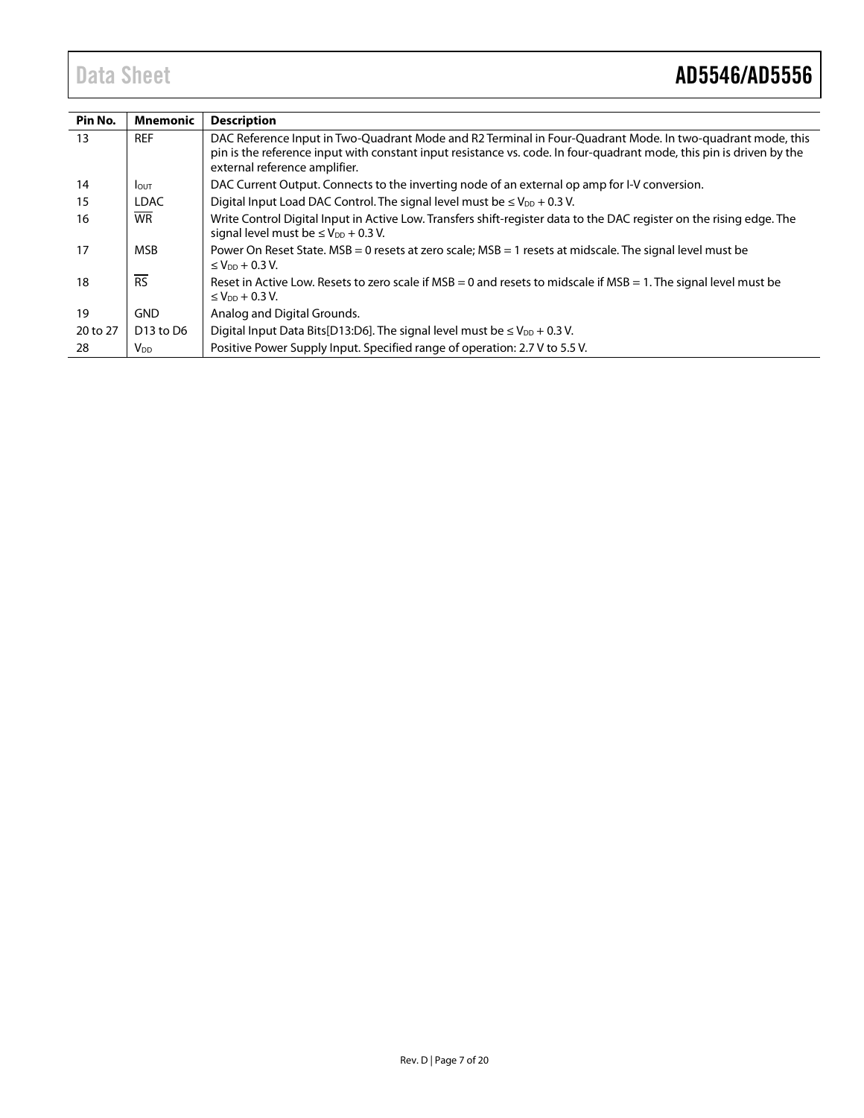| Pin No.  | <b>Mnemonic</b>                   | <b>Description</b>                                                                                                                                                                                                                                                  |
|----------|-----------------------------------|---------------------------------------------------------------------------------------------------------------------------------------------------------------------------------------------------------------------------------------------------------------------|
| 13       | <b>REF</b>                        | DAC Reference Input in Two-Quadrant Mode and R2 Terminal in Four-Quadrant Mode. In two-quadrant mode, this<br>pin is the reference input with constant input resistance vs. code. In four-quadrant mode, this pin is driven by the<br>external reference amplifier. |
| 14       | <b>I</b> OUT                      | DAC Current Output. Connects to the inverting node of an external op amp for I-V conversion.                                                                                                                                                                        |
| 15       | <b>LDAC</b>                       | Digital Input Load DAC Control. The signal level must be $\leq$ V <sub>DD</sub> + 0.3 V.                                                                                                                                                                            |
| 16       | <b>WR</b>                         | Write Control Digital Input in Active Low. Transfers shift-register data to the DAC register on the rising edge. The<br>signal level must be $\leq$ V <sub>DD</sub> + 0.3 V.                                                                                        |
| 17       | <b>MSB</b>                        | Power On Reset State. MSB = 0 resets at zero scale; MSB = 1 resets at midscale. The signal level must be<br>≤ $V_{DD}$ + 0.3 V.                                                                                                                                     |
| 18       | <b>RS</b>                         | Reset in Active Low. Resets to zero scale if MSB = 0 and resets to midscale if MSB = 1. The signal level must be<br>$\leq$ V <sub>DD</sub> + 0.3 V.                                                                                                                 |
| 19       | <b>GND</b>                        | Analog and Digital Grounds.                                                                                                                                                                                                                                         |
| 20 to 27 | D <sub>13</sub> to D <sub>6</sub> | Digital Input Data Bits[D13:D6]. The signal level must be $\leq$ V <sub>DD</sub> + 0.3 V.                                                                                                                                                                           |
| 28       | V <sub>DD</sub>                   | Positive Power Supply Input. Specified range of operation: 2.7 V to 5.5 V.                                                                                                                                                                                          |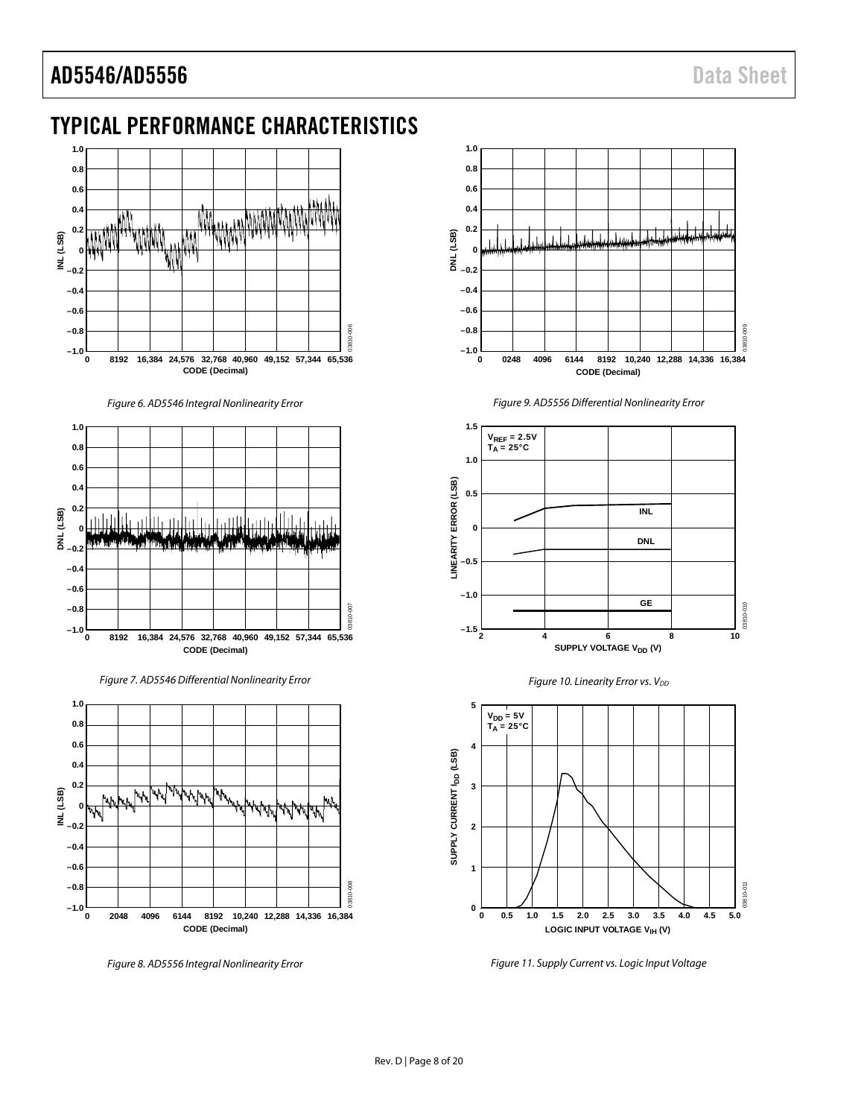# <span id="page-7-0"></span>TYPICAL PERFORMANCE CHARACTERISTICS



Figure 6. AD5546 Integral Nonlinearity Error



Figure 7. AD5546 Differential Nonlinearity Error



Figure 8. AD5556 Integral Nonlinearity Error



Figure 9. AD5556 Differential Nonlinearity Error







Figure 11. Supply Current vs. Logic Input Voltage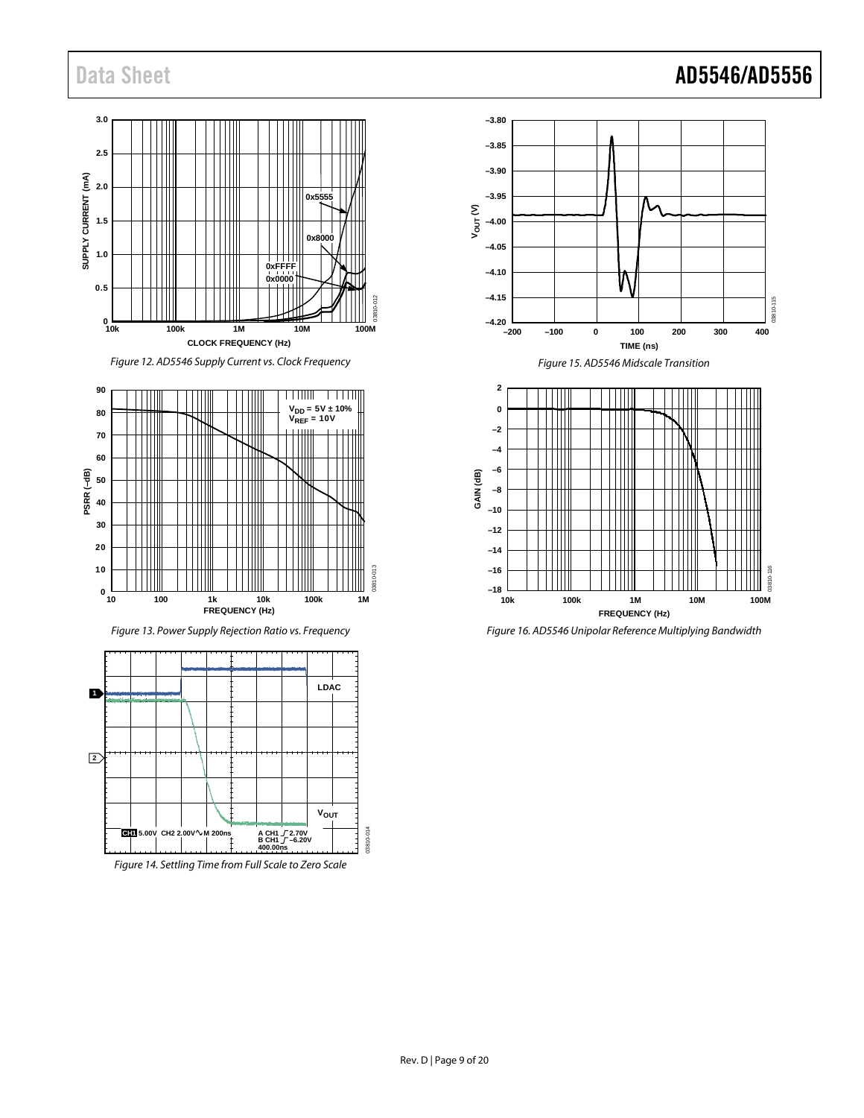# Data Sheet **AD5546/AD5556**





*Figure 13. Power Supply Rejection Ratio vs. Frequency*



*Figure 14. Settling Time from Full Scale to Zero Scale*





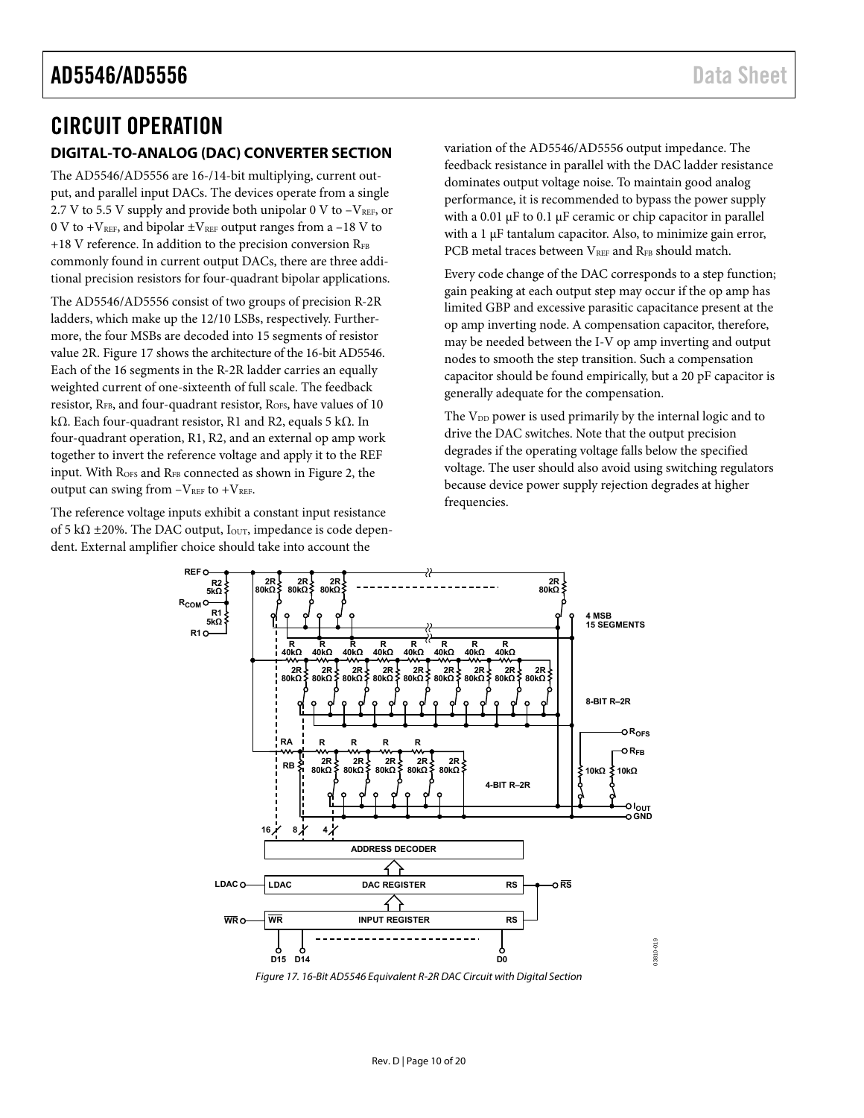## <span id="page-9-0"></span>CIRCUIT OPERATION

### <span id="page-9-1"></span>**DIGITAL-TO-ANALOG (DAC) CONVERTER SECTION**

The AD5546/AD5556 are 16-/14-bit multiplying, current output, and parallel input DACs. The devices operate from a single 2.7 V to 5.5 V supply and provide both unipolar 0 V to  $-V_{REF}$ , or 0 V to + $V_{REF}$ , and bipolar  $\pm V_{REF}$  output ranges from a –18 V to  $+18$  V reference. In addition to the precision conversion  $R_{FB}$ commonly found in current output DACs, there are three additional precision resistors for four-quadrant bipolar applications.

The AD5546/AD5556 consist of two groups of precision R-2R ladders, which make up the 12/10 LSBs, respectively. Furthermore, the four MSBs are decoded into 15 segments of resistor value 2R. [Figure 17 s](#page-9-2)hows the architecture of the 16-bit AD5546. Each of the 16 segments in the R-2R ladder carries an equally weighted current of one-sixteenth of full scale. The feedback resistor, RFB, and four-quadrant resistor, R<sub>OFS</sub>, have values of 10 kΩ. Each four-quadrant resistor, R1 and R2, equals 5 kΩ. In four-quadrant operation, R1, R2, and an external op amp work together to invert the reference voltage and apply it to the REF input. With R<sub>OFS</sub> and R<sub>FB</sub> connected as shown i[n Figure 2,](#page-0-4) the output can swing from  $-V_{REF}$  to  $+V_{REF}$ .

The reference voltage inputs exhibit a constant input resistance of 5 k $\Omega$  ±20%. The DAC output, I<sub>OUT</sub>, impedance is code dependent. External amplifier choice should take into account the

variation of the AD5546/AD5556 output impedance. The feedback resistance in parallel with the DAC ladder resistance dominates output voltage noise. To maintain good analog performance, it is recommended to bypass the power supply with a 0.01 μF to 0.1 μF ceramic or chip capacitor in parallel with a 1 μF tantalum capacitor. Also, to minimize gain error, PCB metal traces between VREF and RFB should match.

Every code change of the DAC corresponds to a step function; gain peaking at each output step may occur if the op amp has limited GBP and excessive parasitic capacitance present at the op amp inverting node. A compensation capacitor, therefore, may be needed between the I-V op amp inverting and output nodes to smooth the step transition. Such a compensation capacitor should be found empirically, but a 20 pF capacitor is generally adequate for the compensation.

The V<sub>DD</sub> power is used primarily by the internal logic and to drive the DAC switches. Note that the output precision degrades if the operating voltage falls below the specified voltage. The user should also avoid using switching regulators because device power supply rejection degrades at higher frequencies.



<span id="page-9-2"></span>Figure 17. 16-Bit AD5546 Equivalent R-2R DAC Circuit with Digital Section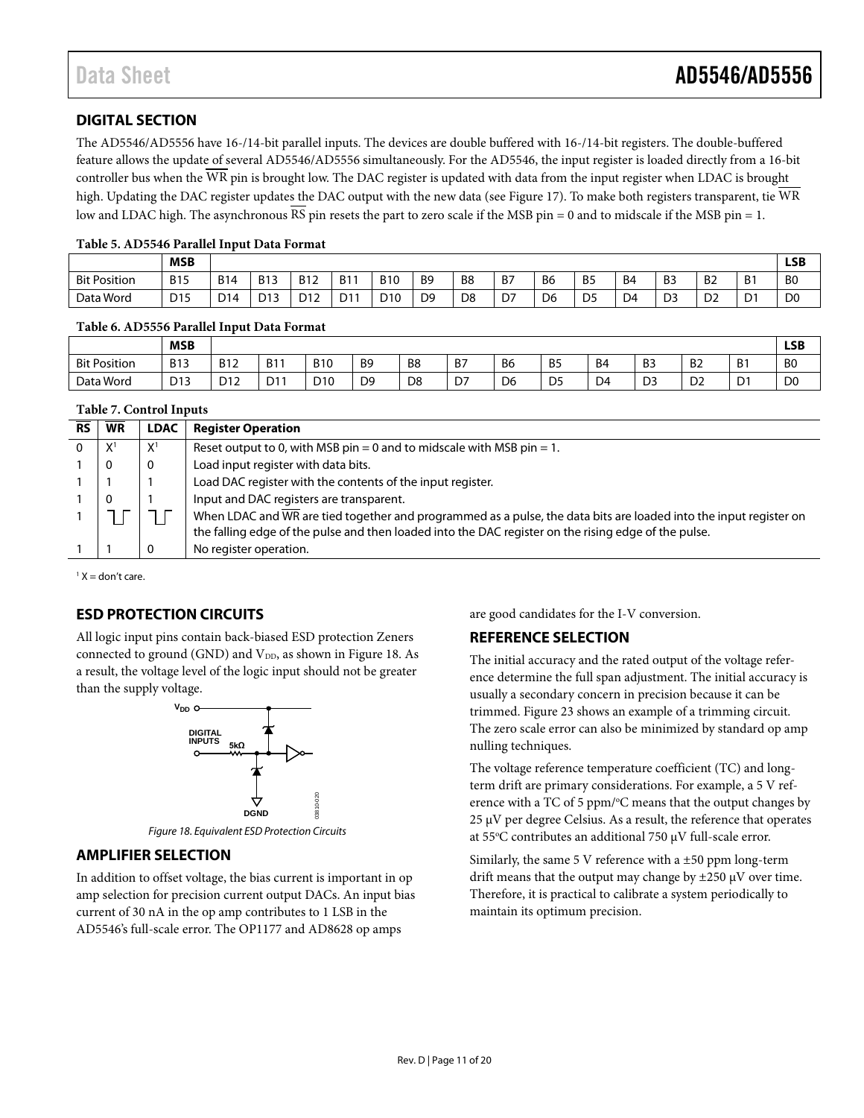### <span id="page-10-0"></span>**DIGITAL SECTION**

The AD5546/AD5556 have 16-/14-bit parallel inputs. The devices are double buffered with 16-/14-bit registers. The double-buffered feature allows the update of several AD5546/AD5556 simultaneously. For the AD5546, the input register is loaded directly from a 16-bit controller bus when the WR pin is brought low. The DAC register is updated with data from the input register when LDAC is brought high. Updating the DAC register updates the DAC output with the new data (see [Figure 17\)](#page-9-2). To make both registers transparent, tie WR low and LDAC high. The asynchronous RS pin resets the part to zero scale if the MSB pin = 0 and to midscale if the MSB pin = 1.

#### **Table 5. AD5546 Parallel Input Data Format**

|                     | <b>MSB</b>          |                      |            |                 |            |            |                |                          |    |                |                |                |                |              |                   | <b>LSB</b>     |
|---------------------|---------------------|----------------------|------------|-----------------|------------|------------|----------------|--------------------------|----|----------------|----------------|----------------|----------------|--------------|-------------------|----------------|
| <b>Bit Position</b> | <b>B15</b>          | <b>B14</b>           | <b>B13</b> | <b>B12</b>      | <b>B11</b> | <b>B10</b> | B <sub>9</sub> | B <sub>8</sub><br>$\sim$ | B7 | B <sub>6</sub> | B <sub>5</sub> | B <sub>4</sub> | B <sub>3</sub> | <b>B2</b>    | B <sub>1</sub>    | B <sub>0</sub> |
| Data Word           | $\Gamma$ 15<br>כו ש | D <sub>14</sub><br>ັ | D13<br>-   | D <sub>12</sub> | D11        | D10        | D <sub>9</sub> | D <sub>8</sub>           | D7 | D <sub>6</sub> | DE<br>ر ر      | D <sub>4</sub> | D <sub>3</sub> | $\sim$<br>υ∠ | $\mathbf{D}$<br>ע | D <sub>0</sub> |

#### **Table 6. AD5556 Parallel Input Data Format**

|                     | <b>MSB</b>      |                 |            |                 |                |                |    |                |                |                |                |                |                | <b>LSB</b>     |
|---------------------|-----------------|-----------------|------------|-----------------|----------------|----------------|----|----------------|----------------|----------------|----------------|----------------|----------------|----------------|
| <b>Bit Position</b> | <b>B13</b>      | <b>B12</b>      | <b>B11</b> | <b>B10</b>      | B <sub>9</sub> | B8             | B7 | B6             | B <sub>5</sub> | B <sub>4</sub> | B <sub>3</sub> | B <sub>2</sub> | B.             | B <sub>0</sub> |
| Data Word           | D <sub>13</sub> | D <sub>12</sub> | D11        | D <sub>10</sub> | D <sub>9</sub> | D <sub>8</sub> | D7 | D <sub>6</sub> | D <sub>5</sub> | D <sub>4</sub> | $\sim$<br>כע   | D <sub>2</sub> | D <sub>1</sub> | D <sub>0</sub> |

#### **Table 7. Control Inputs**

| <b>RS</b> | <b>WR</b> | <b>LDAC</b> | <b>Register Operation</b>                                                                                         |
|-----------|-----------|-------------|-------------------------------------------------------------------------------------------------------------------|
|           | $X^1$     | $X^1$       | Reset output to 0, with MSB pin = 0 and to midscale with MSB pin = 1.                                             |
|           |           |             | Load input register with data bits.                                                                               |
|           |           |             | Load DAC register with the contents of the input register.                                                        |
|           | 0         |             | Input and DAC registers are transparent.                                                                          |
|           |           |             | When LDAC and WR are tied together and programmed as a pulse, the data bits are loaded into the input register on |
|           |           |             | the falling edge of the pulse and then loaded into the DAC register on the rising edge of the pulse.              |
|           |           |             | No register operation.                                                                                            |

 $<sup>1</sup> X =$  don't care.</sup>

### <span id="page-10-1"></span>**ESD PROTECTION CIRCUITS**

All logic input pins contain back-biased ESD protection Zeners connected to ground (GND) and  $V_{DD}$ , as shown in [Figure 18.](#page-10-4) As a result, the voltage level of the logic input should not be greater than the supply voltage.



*Figure 18. Equivalent ESD Protection Circuits*

### <span id="page-10-4"></span><span id="page-10-2"></span>**AMPLIFIER SELECTION**

In addition to offset voltage, the bias current is important in op amp selection for precision current output DACs. An input bias current of 30 nA in the op amp contributes to 1 LSB in the AD5546's full-scale error. The OP1177 and AD8628 op amps

are good candidates for the I-V conversion.

### <span id="page-10-3"></span>**REFERENCE SELECTION**

The initial accuracy and the rated output of the voltage reference determine the full span adjustment. The initial accuracy is usually a secondary concern in precision because it can be trimmed. [Figure 23](#page-13-2) shows an example of a trimming circuit. The zero scale error can also be minimized by standard op amp nulling techniques.

The voltage reference temperature coefficient (TC) and longterm drift are primary considerations. For example, a 5 V reference with a TC of 5 ppm/°C means that the output changes by  $25 \mu V$  per degree Celsius. As a result, the reference that operates at 55°C contributes an additional 750  $\mu$ V full-scale error.

Similarly, the same 5 V reference with a ±50 ppm long-term drift means that the output may change by  $\pm 250 \mu V$  over time. Therefore, it is practical to calibrate a system periodically to maintain its optimum precision.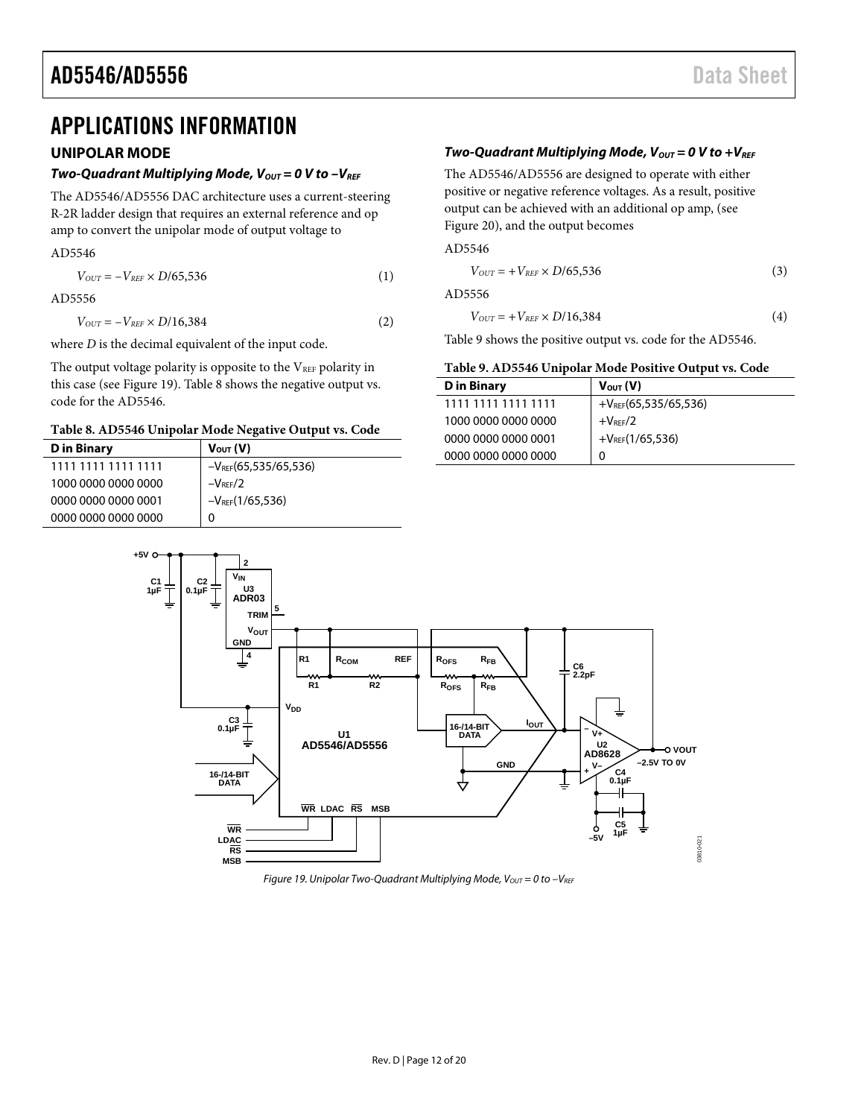## <span id="page-11-0"></span>APPLICATIONS INFORMATION

### <span id="page-11-1"></span>**UNIPOLAR MODE**

#### *Two-Quadrant Multiplying Mode, V<sub>OUT</sub>* = 0 V to -V<sub>REF</sub>

The AD5546/AD5556 DAC architecture uses a current-steering R-2R ladder design that requires an external reference and op amp to convert the unipolar mode of output voltage to

#### AD5546

| $V_{OUT} = -V_{REF} \times D/65,536$ | (1) |
|--------------------------------------|-----|
|--------------------------------------|-----|

AD5556

 $V_{OUT} = -V_{REF} \times D/16,384$  (2)

where *D* is the decimal equivalent of the input code.

**+5V**

The output voltage polarity is opposite to the  $V_{REF}$  polarity in this case (se[e Figure 19\)](#page-11-2)[. Table 8](#page-11-3) shows the negative output vs. code for the AD5546.

#### <span id="page-11-3"></span>**Table 8. AD5546 Unipolar Mode Negative Output vs. Code**

| <b>D</b> in Binary  | $V_{\text{OUT}}(V)$       |
|---------------------|---------------------------|
| 1111 1111 1111 1111 | $-V_{REF}(65,535/65,536)$ |
| 1000 0000 0000 0000 | $-V$ <sub>RFF</sub> $/2$  |
| 0000 0000 0000 0001 | $-V_{REF}(1/65,536)$      |
| 0000 0000 0000 0000 | 0                         |

#### *Two-Quadrant Multiplying Mode, V<sub>out</sub>* = 0 V to +V<sub>REF</sub>

The AD5546/AD5556 are designed to operate with either positive or negative reference voltages. As a result, positive output can be achieved with an additional op amp, (see [Figure 20\)](#page-12-1), and the output becomes

AD5546

$$
V_{OUT} = +V_{REF} \times D/65,536
$$
 (3)

AD5556

$$
V_{OUT} = +V_{REF} \times D/16,384
$$
 (4)

[Table 9](#page-11-4) shows the positive output vs. code for the AD5546.

#### <span id="page-11-4"></span>**Table 9. AD5546 Unipolar Mode Positive Output vs. Code**

| D in Binary         | $V_{\text{OUT}}(V)$       |
|---------------------|---------------------------|
| 1111 1111 1111 1111 | $+V_{REF}(65,535/65,536)$ |
| 1000 0000 0000 0000 | $+VREF/2$                 |
| 0000 0000 0000 0001 | $+V_{RFF}(1/65,536)$      |
| 0000 0000 0000 0000 | 0                         |



<span id="page-11-2"></span>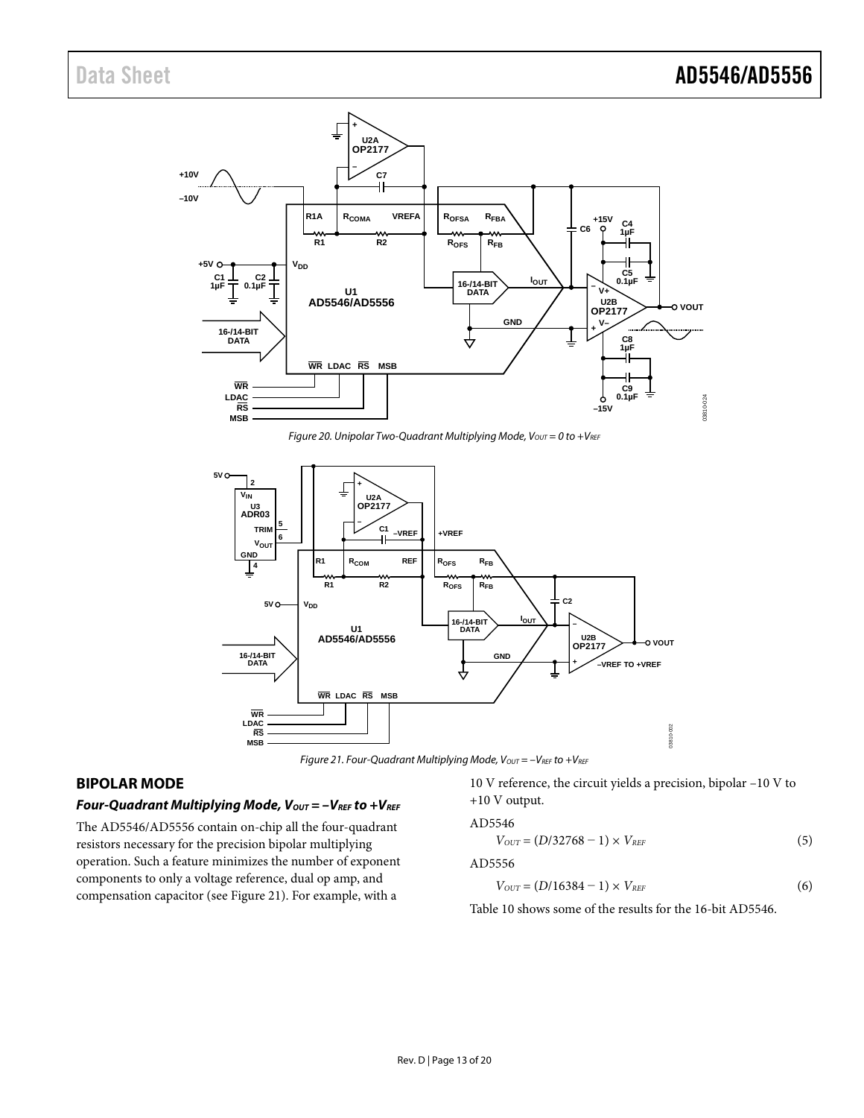

*Figure 20. Unipolar Two-Quadrant Multiplying Mode, Vout* = 0 to +VREF

<span id="page-12-1"></span>

*Figure 21. Four-Quadrant Multiplying Mode, Vout* =  $-V_{REF}$  to  $+V_{REF}$ 

### <span id="page-12-2"></span><span id="page-12-0"></span>**BIPOLAR MODE**

#### *Four-Quadrant Multiplying Mode, V<sub>OUT</sub> = -V<sub>REF</sub> to +V<sub>REF</sub>*

The AD5546/AD5556 contain on-chip all the four-quadrant resistors necessary for the precision bipolar multiplying operation. Such a feature minimizes the number of exponent components to only a voltage reference, dual op amp, and compensation capacitor (se[e Figure 21\)](#page-12-2). For example, with a

10 V reference, the circuit yields a precision, bipolar –10 V to +10 V output.

#### AD5546

$$
V_{OUT} = (D/32768 - 1) \times V_{REF} \tag{5}
$$

AD5556

$$
V_{OUT} = (D/16384 - 1) \times V_{REF} \tag{6}
$$

[Table 10](#page-13-3) shows some of the results for the 16-bit AD5546.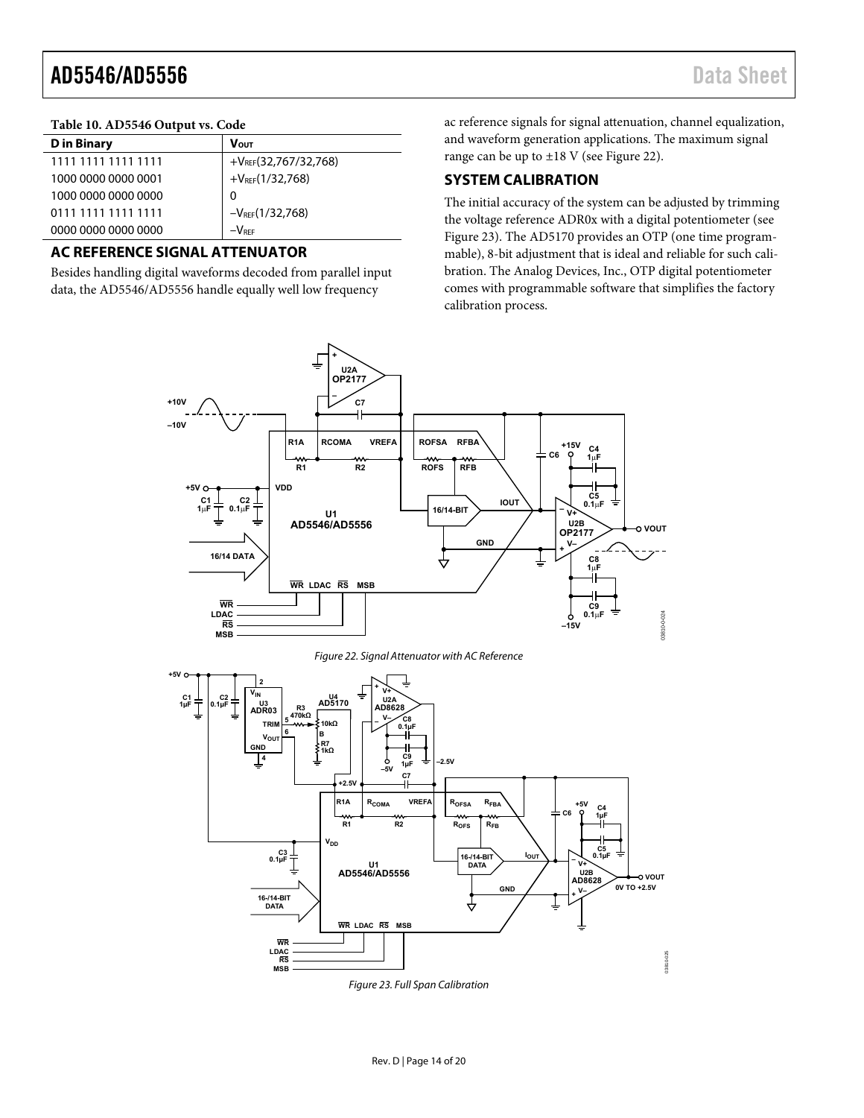#### <span id="page-13-3"></span>**Table 10. AD5546 Output vs. Code**

| <b>D</b> in Binary  | <b>VOUT</b>               |
|---------------------|---------------------------|
| 1111 1111 1111 1111 | $+V_{REF}(32,767/32,768)$ |
| 1000 0000 0000 0001 | $+V_{REF}(1/32,768)$      |
| 1000 0000 0000 0000 | 0                         |
| 0111 1111 1111 1111 | $-V_{REF}(1/32,768)$      |
| 0000 0000 0000 0000 | $-V$ REF                  |

#### <span id="page-13-0"></span>**AC REFERENCE SIGNAL ATTENUATOR**

Besides handling digital waveforms decoded from parallel input data, the AD5546/AD5556 handle equally well low frequency

ac reference signals for signal attenuation, channel equalization, and waveform generation applications. The maximum signal range can be up to ±18 V (se[e Figure 22\)](#page-13-4).

### <span id="page-13-1"></span>**SYSTEM CALIBRATION**

The initial accuracy of the system can be adjusted by trimming the voltage reference ADR0x with a digital potentiometer (see [Figure 23\)](#page-13-2). The AD5170 provides an OTP (one time programmable), 8-bit adjustment that is ideal and reliable for such calibration. The Analog Devices, Inc., OTP digital potentiometer comes with programmable software that simplifies the factory calibration process.



Figure 22. Signal Attenuator with AC Reference

<span id="page-13-4"></span>

<span id="page-13-2"></span>Figure 23. Full Span Calibration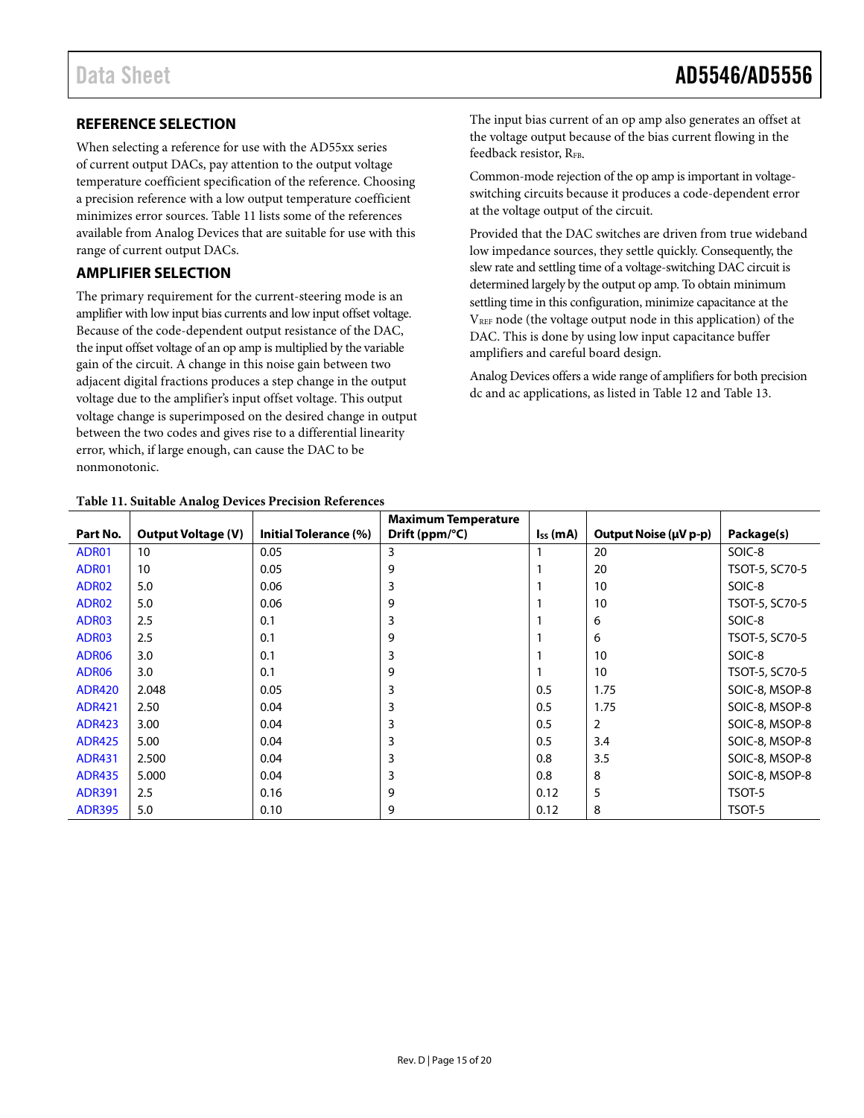### <span id="page-14-0"></span>**REFERENCE SELECTION**

When selecting a reference for use with the AD55xx series of current output DACs, pay attention to the output voltage temperature coefficient specification of the reference. Choosing a precision reference with a low output temperature coefficient minimizes error sources. [Table 11 l](#page-14-2)ists some of the references available from Analog Devices that are suitable for use with this range of current output DACs.

### <span id="page-14-1"></span>**AMPLIFIER SELECTION**

The primary requirement for the current-steering mode is an amplifier with low input bias currents and low input offset voltage. Because of the code-dependent output resistance of the DAC, the input offset voltage of an op amp is multiplied by the variable gain of the circuit. A change in this noise gain between two adjacent digital fractions produces a step change in the output voltage due to the amplifier's input offset voltage. This output voltage change is superimposed on the desired change in output between the two codes and gives rise to a differential linearity error, which, if large enough, can cause the DAC to be nonmonotonic.

The input bias current of an op amp also generates an offset at the voltage output because of the bias current flowing in the feedback resistor, R<sub>FB</sub>.

Common-mode rejection of the op amp is important in voltageswitching circuits because it produces a code-dependent error at the voltage output of the circuit.

Provided that the DAC switches are driven from true wideband low impedance sources, they settle quickly. Consequently, the slew rate and settling time of a voltage-switching DAC circuit is determined largely by the output op amp. To obtain minimum settling time in this configuration, minimize capacitance at the VREF node (the voltage output node in this application) of the DAC. This is done by using low input capacitance buffer amplifiers and careful board design.

Analog Devices offers a wide range of amplifiers for both precision dc and ac applications, as listed in [Table 12](#page-15-0) and [Table 13.](#page-15-1) 

<span id="page-14-2"></span>

| Table 11. Suitable Analog Devices Precision References |                           |                       |                                                        |               |                       |                |  |  |  |  |
|--------------------------------------------------------|---------------------------|-----------------------|--------------------------------------------------------|---------------|-----------------------|----------------|--|--|--|--|
| Part No.                                               | <b>Output Voltage (V)</b> | Initial Tolerance (%) | <b>Maximum Temperature</b><br>Drift (ppm/ $\degree$ C) | $I_{SS}$ (mA) | Output Noise (µV p-p) | Package(s)     |  |  |  |  |
| ADR01                                                  | 10                        | 0.05                  | 3                                                      |               | 20                    | SOIC-8         |  |  |  |  |
| ADR01                                                  | 10                        | 0.05                  | 9                                                      |               | 20                    | TSOT-5, SC70-5 |  |  |  |  |
| ADR02                                                  | 5.0                       | 0.06                  | 3                                                      |               | 10                    | SOIC-8         |  |  |  |  |
| ADR02                                                  | 5.0                       | 0.06                  | 9                                                      |               | 10                    | TSOT-5, SC70-5 |  |  |  |  |
| ADR03                                                  | 2.5                       | 0.1                   | 3                                                      |               | 6                     | SOIC-8         |  |  |  |  |
| ADR03                                                  | 2.5                       | 0.1                   | 9                                                      |               | 6                     | TSOT-5, SC70-5 |  |  |  |  |
| ADR06                                                  | 3.0                       | 0.1                   | 3                                                      |               | 10                    | SOIC-8         |  |  |  |  |
| ADR06                                                  | 3.0                       | 0.1                   | 9                                                      |               | 10                    | TSOT-5, SC70-5 |  |  |  |  |
| <b>ADR420</b>                                          | 2.048                     | 0.05                  | 3                                                      | 0.5           | 1.75                  | SOIC-8, MSOP-8 |  |  |  |  |
| <b>ADR421</b>                                          | 2.50                      | 0.04                  | 3                                                      | 0.5           | 1.75                  | SOIC-8, MSOP-8 |  |  |  |  |
| <b>ADR423</b>                                          | 3.00                      | 0.04                  | 3                                                      | 0.5           | $\overline{2}$        | SOIC-8, MSOP-8 |  |  |  |  |
| <b>ADR425</b>                                          | 5.00                      | 0.04                  | 3                                                      | 0.5           | 3.4                   | SOIC-8, MSOP-8 |  |  |  |  |
| <b>ADR431</b>                                          | 2.500                     | 0.04                  | 3                                                      | 0.8           | 3.5                   | SOIC-8, MSOP-8 |  |  |  |  |
| <b>ADR435</b>                                          | 5.000                     | 0.04                  | 3                                                      | 0.8           | 8                     | SOIC-8, MSOP-8 |  |  |  |  |
| <b>ADR391</b>                                          | 2.5                       | 0.16                  | 9                                                      | 0.12          | 5                     | TSOT-5         |  |  |  |  |
| <b>ADR395</b>                                          | 5.0                       | 0.10                  | 9                                                      | 0.12          | 8                     | TSOT-5         |  |  |  |  |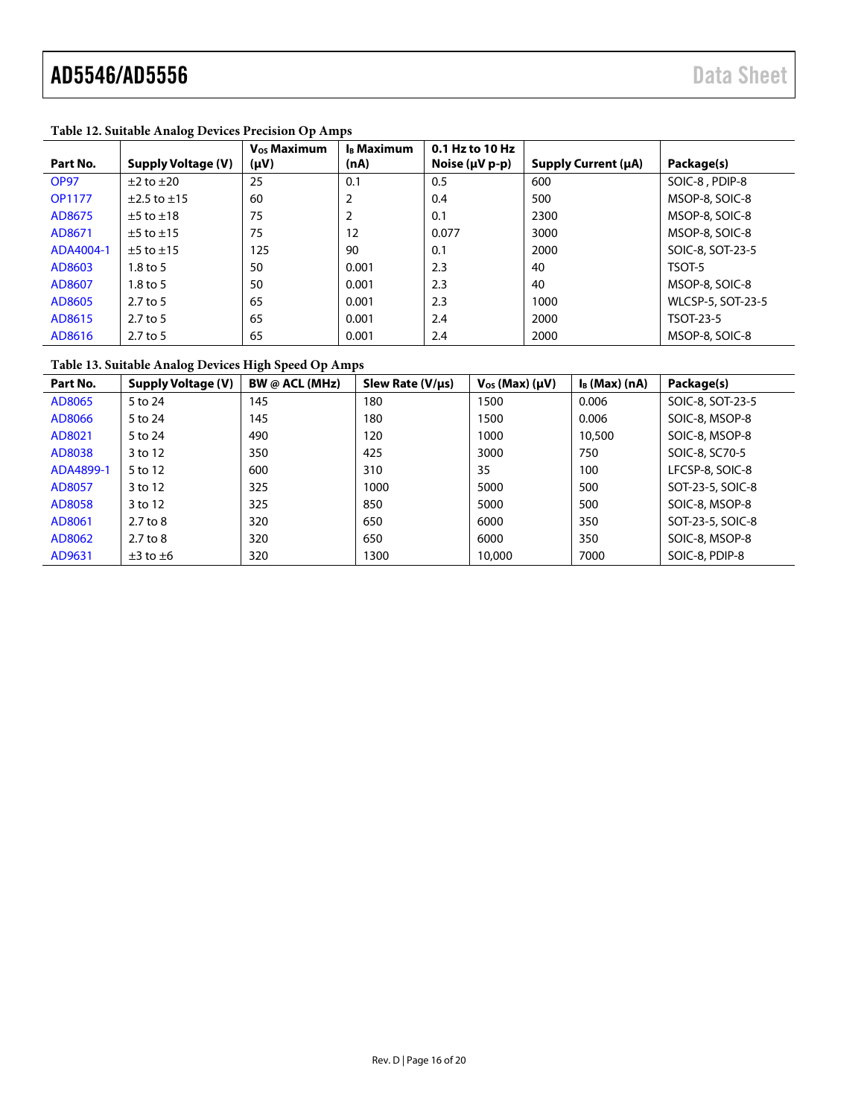| Part No.      | <b>Supply Voltage (V)</b> | <b>V<sub>os</sub> Maximum</b><br>$(\mu V)$ | I <sub>B</sub> Maximum<br>(nA) | 0.1 Hz to 10 Hz<br>Noise ( $\mu$ V p-p) | Supply Current (µA) | Package(s)               |
|---------------|---------------------------|--------------------------------------------|--------------------------------|-----------------------------------------|---------------------|--------------------------|
| <b>OP97</b>   | $\pm 2$ to $\pm 20$       | 25                                         | 0.1                            | 0.5                                     | 600                 | SOIC-8, PDIP-8           |
| <b>OP1177</b> | $±2.5$ to $±15$           | 60                                         | 2                              | 0.4                                     | 500                 | MSOP-8, SOIC-8           |
| AD8675        | $\pm 5$ to $\pm 18$       | 75                                         | 2                              | 0.1                                     | 2300                | MSOP-8, SOIC-8           |
| AD8671        | $±5$ to $±15$             | 75                                         | 12                             | 0.077                                   | 3000                | MSOP-8, SOIC-8           |
| ADA4004-1     | $\pm$ 5 to $\pm$ 15       | 125                                        | 90                             | 0.1                                     | 2000                | SOIC-8, SOT-23-5         |
| AD8603        | $1.8$ to 5                | 50                                         | 0.001                          | 2.3                                     | 40                  | TSOT-5                   |
| AD8607        | $1.8$ to 5                | 50                                         | 0.001                          | 2.3                                     | 40                  | MSOP-8, SOIC-8           |
| AD8605        | 2.7 to 5                  | 65                                         | 0.001                          | 2.3                                     | 1000                | <b>WLCSP-5, SOT-23-5</b> |
| AD8615        | $2.7$ to 5                | 65                                         | 0.001                          | 2.4                                     | 2000                | TSOT-23-5                |
| AD8616        | 2.7 to 5                  | 65                                         | 0.001                          | 2.4                                     | 2000                | MSOP-8, SOIC-8           |

#### <span id="page-15-0"></span>**Table 12. Suitable Analog Devices Precision Op Amps**

### <span id="page-15-1"></span>**Table 13. Suitable Analog Devices High Speed Op Amps**

| Part No.  | <b>Supply Voltage (V)</b> | BW @ $ACL$ (MHz) | Slew Rate $(V/\mu s)$ | $V_{OS}$ (Max) ( $\mu$ V) | $I_B$ (Max) (nA) | Package(s)       |
|-----------|---------------------------|------------------|-----------------------|---------------------------|------------------|------------------|
| AD8065    | 5 to 24                   | 145              | 180                   | 1500                      | 0.006            | SOIC-8, SOT-23-5 |
| AD8066    | 5 to 24                   | 145              | 180                   | 1500                      | 0.006            | SOIC-8, MSOP-8   |
| AD8021    | 5 to 24                   | 490              | 120                   | 1000                      | 10,500           | SOIC-8, MSOP-8   |
| AD8038    | 3 to 12                   | 350              | 425                   | 3000                      | 750              | SOIC-8, SC70-5   |
| ADA4899-1 | 5 to 12                   | 600              | 310                   | 35                        | 100              | LFCSP-8, SOIC-8  |
| AD8057    | 3 to 12                   | 325              | 1000                  | 5000                      | 500              | SOT-23-5, SOIC-8 |
| AD8058    | 3 to 12                   | 325              | 850                   | 5000                      | 500              | SOIC-8, MSOP-8   |
| AD8061    | $2.7$ to $8$              | 320              | 650                   | 6000                      | 350              | SOT-23-5, SOIC-8 |
| AD8062    | $2.7$ to $8$              | 320              | 650                   | 6000                      | 350              | SOIC-8, MSOP-8   |
| AD9631    | $\pm 3$ to $\pm 6$        | 320              | 1300                  | 10,000                    | 7000             | SOIC-8, PDIP-8   |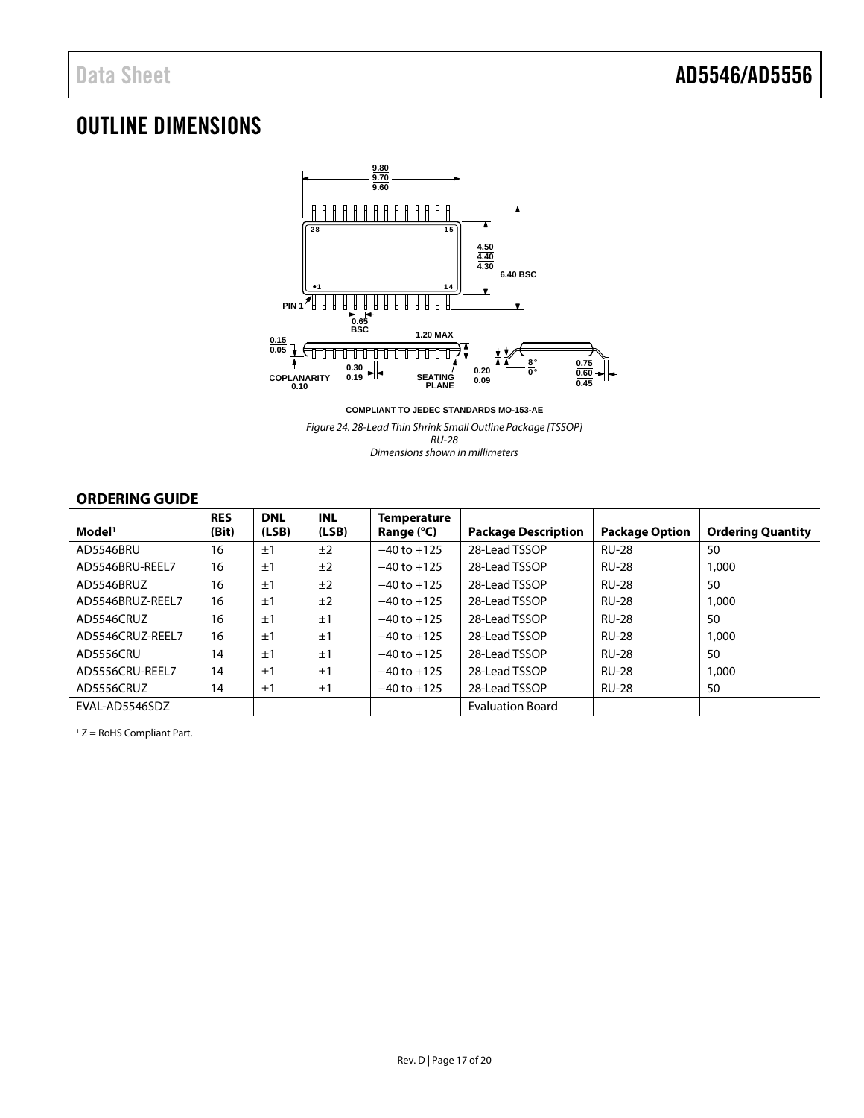# <span id="page-16-0"></span>OUTLINE DIMENSIONS



**COMPLIANT TO JEDEC STANDARDS MO-153-AE**

*Figure 24. 28-Lead Thin Shrink Small Outline Package [TSSOP] RU-28*

*Dimensions shown in millimeters*

### <span id="page-16-1"></span>**ORDERING GUIDE**

| Model <sup>1</sup> | <b>RES</b><br>(Bit) | <b>DNL</b><br>(LSB) | <b>INL</b><br>(LSB) | <b>Temperature</b><br>Range (°C) | <b>Package Description</b> | <b>Package Option</b> | <b>Ordering Quantity</b> |
|--------------------|---------------------|---------------------|---------------------|----------------------------------|----------------------------|-----------------------|--------------------------|
| AD5546BRU          | 16                  | ±1                  | ±2                  | $-40$ to $+125$                  | 28-Lead TSSOP              | <b>RU-28</b>          | 50                       |
| AD5546BRU-REEL7    | 16                  | ±1                  | ±2                  | $-40$ to $+125$                  | 28-Lead TSSOP              | <b>RU-28</b>          | 1,000                    |
| AD5546BRUZ         | 16                  | ±1                  | ±2                  | $-40$ to $+125$                  | 28-Lead TSSOP              | <b>RU-28</b>          | 50                       |
| AD5546BRUZ-REEL7   | 16                  | ±1                  | ±2                  | $-40$ to $+125$                  | 28-Lead TSSOP              | <b>RU-28</b>          | 1,000                    |
| AD5546CRUZ         | 16                  | ±1                  | ±1                  | $-40$ to $+125$                  | 28-Lead TSSOP              | <b>RU-28</b>          | 50                       |
| AD5546CRUZ-REEL7   | 16                  | ±1                  | ±1                  | $-40$ to $+125$                  | 28-Lead TSSOP              | <b>RU-28</b>          | 1,000                    |
| AD5556CRU          | 14                  | ±1                  | ±1                  | $-40$ to $+125$                  | 28-Lead TSSOP              | <b>RU-28</b>          | 50                       |
| AD5556CRU-REEL7    | 14                  | ±1                  | ±1                  | $-40$ to $+125$                  | 28-Lead TSSOP              | <b>RU-28</b>          | 1,000                    |
| AD5556CRUZ         | 14                  | ±1                  | ±1                  | $-40$ to $+125$                  | 28-Lead TSSOP              | <b>RU-28</b>          | 50                       |
| EVAL-AD5546SDZ     |                     |                     |                     |                                  | <b>Evaluation Board</b>    |                       |                          |

<sup>1</sup> Z = RoHS Compliant Part.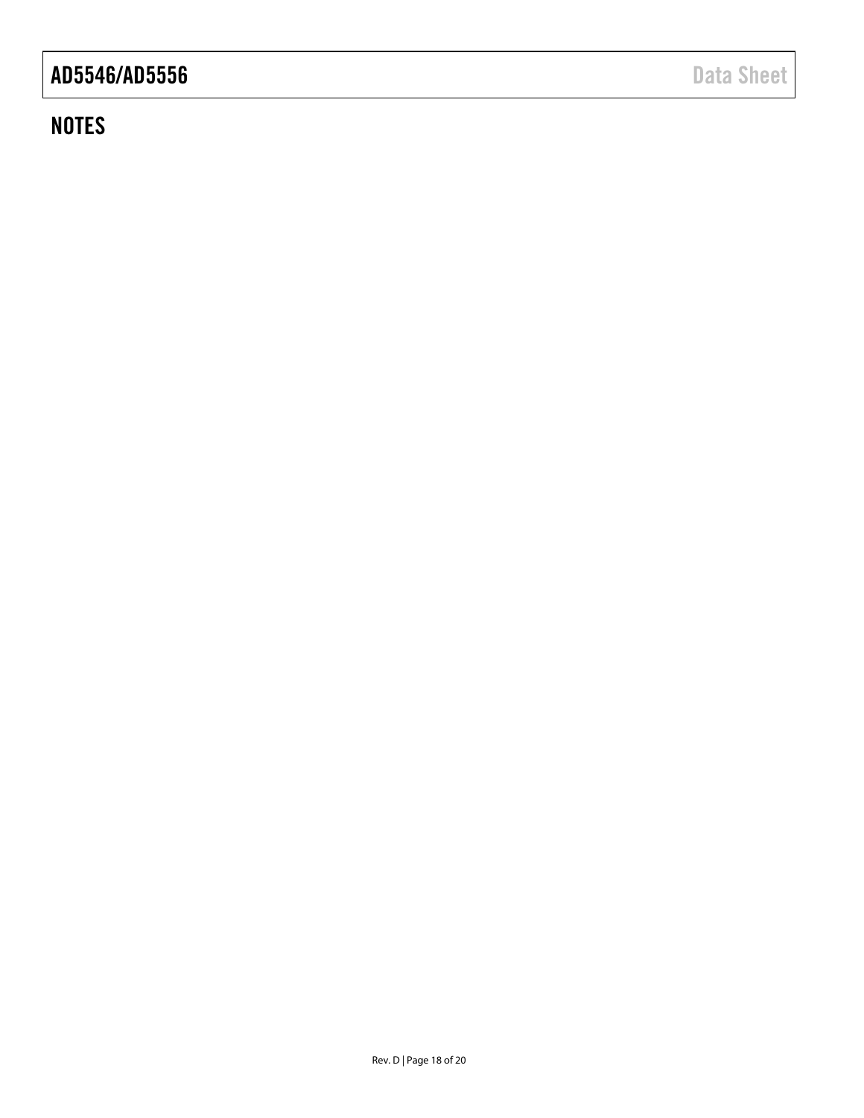# **NOTES**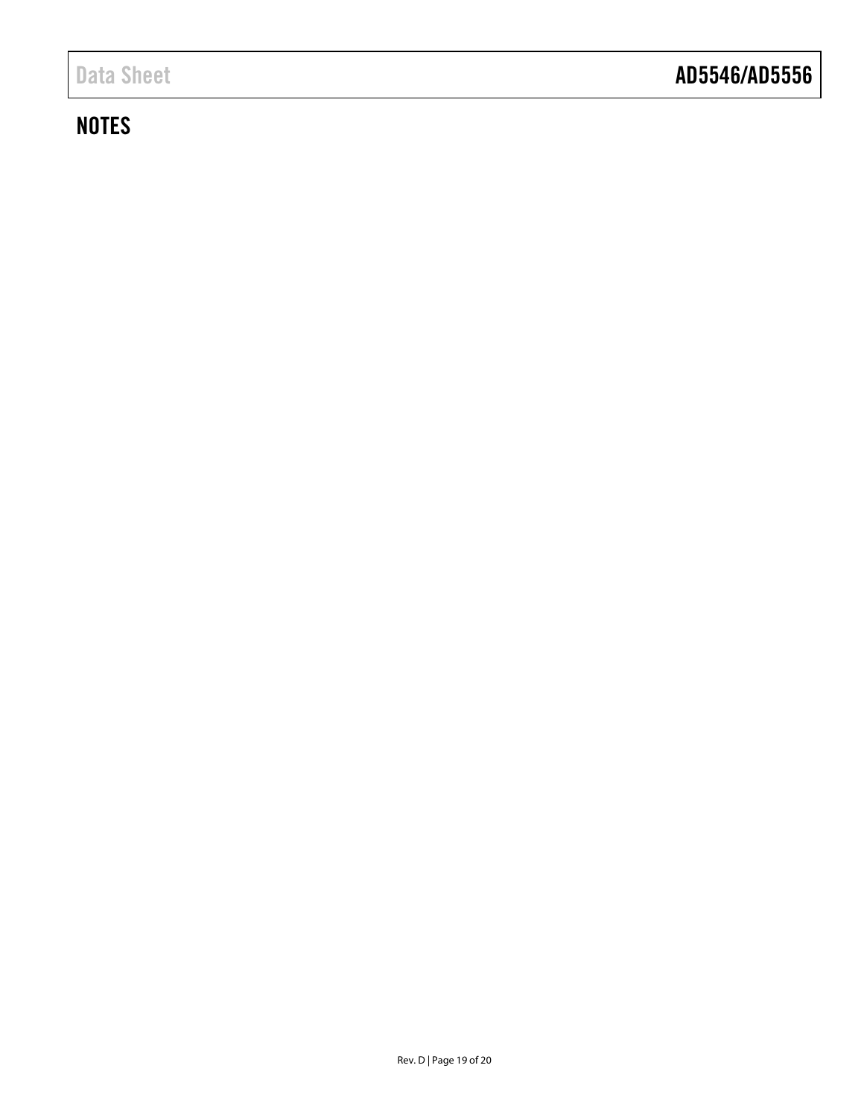# **NOTES**